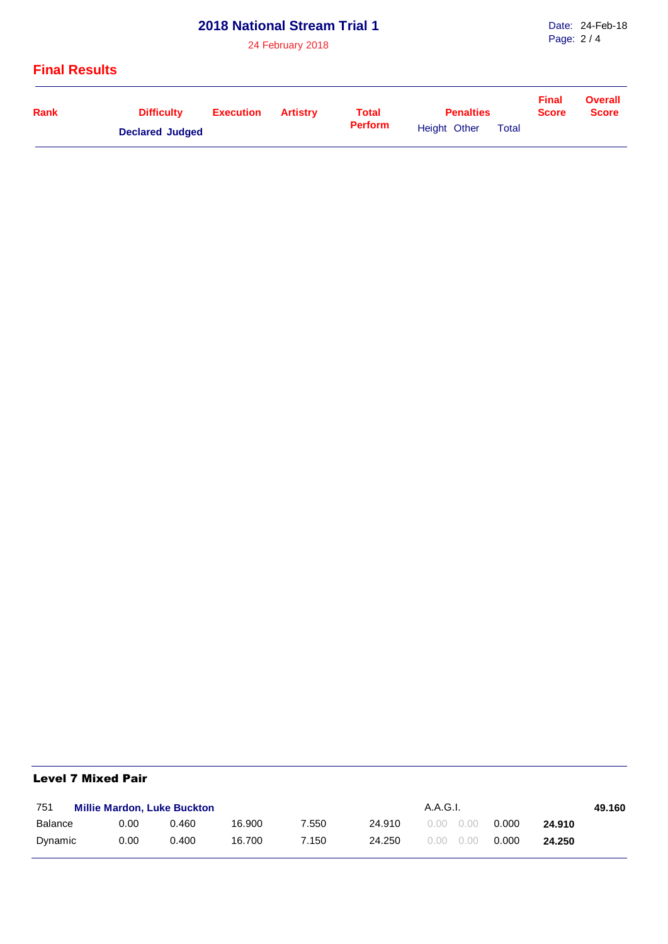# **2018 National Stream Trial 1**

24 February 2018

### **Final Results**

| Rank                   | <b>Difficulty</b> | Execution | Artistrv | <b>Total</b>   | <b>Penalties</b> | <b>Final</b><br><b>Score</b> | <b>Overall</b><br><b>Score</b> |  |
|------------------------|-------------------|-----------|----------|----------------|------------------|------------------------------|--------------------------------|--|
| <b>Declared Judged</b> |                   |           |          | <b>Perform</b> | Height Other     | <b>Total</b>                 |                                |  |

#### Level 7 Mixed Pair

| 751     | <b>Millie Mardon, Luke Buckton</b> |       |        |       |        | A.A.G.I.          |       |        |  |  |
|---------|------------------------------------|-------|--------|-------|--------|-------------------|-------|--------|--|--|
| Balance | 0.00                               | 0.460 | 16.900 | 7.550 | 24.910 | $0.00 \quad 0.00$ | 0.000 | 24.910 |  |  |
| Dynamic | 0.00                               | 0.400 | 16.700 | 7.150 | 24.250 | $0.00 \quad 0.00$ | 0.000 | 24.250 |  |  |